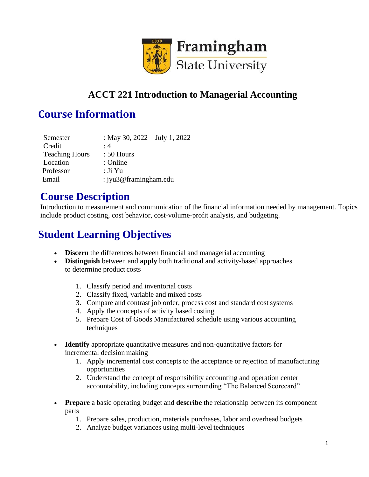

#### **ACCT 221 Introduction to Managerial Accounting**

#### **Course Information**

| Semester              | : May 30, 2022 – July 1, 2022 |
|-----------------------|-------------------------------|
| Credit                | $\cdot$ 4                     |
| <b>Teaching Hours</b> | $: 50$ Hours                  |
| Location              | : Online                      |
| Professor             | : Ji Yu                       |
| Email                 | : jyu3@framingham.edu         |

#### **Course Description**

Introduction to measurement and communication of the financial information needed by management. Topics include product costing, cost behavior, cost-volume-profit analysis, and budgeting.

## **Student Learning Objectives**

- **Discern** the differences between financial and managerial accounting
- **Distinguish** between and **apply** both traditional and activity-based approaches to determine product costs
	- 1. Classify period and inventorial costs
	- 2. Classify fixed, variable and mixed costs
	- 3. Compare and contrast job order, process cost and standard cost systems
	- 4. Apply the concepts of activity based costing
	- 5. Prepare Cost of Goods Manufactured schedule using various accounting techniques
- **Identify** appropriate quantitative measures and non-quantitative factors for incremental decision making
	- 1. Apply incremental cost concepts to the acceptance or rejection of manufacturing opportunities
	- 2. Understand the concept of responsibility accounting and operation center accountability, including concepts surrounding "The Balanced Scorecard"
- **Prepare** a basic operating budget and **describe** the relationship between its component parts
	- 1. Prepare sales, production, materials purchases, labor and overhead budgets
	- 2. Analyze budget variances using multi-level techniques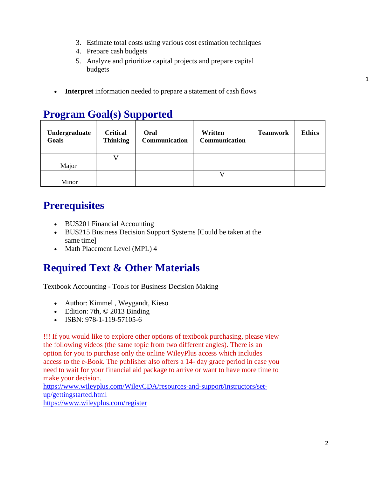- 3. Estimate total costs using various cost estimation techniques
- 4. Prepare cash budgets
- 5. Analyze and prioritize capital projects and prepare capital budgets
- **Interpret** information needed to prepare a statement of cash flows

# **Program Goal(s) Supported**

| Undergraduate<br>Goals | <b>Critical</b><br><b>Thinking</b> | Oral<br>Communication | Written<br>Communication | <b>Teamwork</b> | <b>Ethics</b> |
|------------------------|------------------------------------|-----------------------|--------------------------|-----------------|---------------|
|                        |                                    |                       |                          |                 |               |
| Major                  |                                    |                       |                          |                 |               |
|                        |                                    |                       |                          |                 |               |
| Minor                  |                                    |                       |                          |                 |               |

# **Prerequisites**

- BUS201 Financial Accounting
- BUS215 Business Decision Support Systems [Could be taken at the same time]
- Math Placement Level (MPL) 4

## **Required Text & Other Materials**

Textbook Accounting - Tools for Business Decision Making

- Author: Kimmel, Weygandt, Kieso
- Edition: 7th, © 2013 Binding
- ISBN: 978-1-119-57105-6

!!! If you would like to explore other options of textbook purchasing, please view the following videos (the same topic from two different angles). There is an option for you to purchase only the online WileyPlus access which includes access to the e-Book. The publisher also offers a 14- day grace period in case you need to wait for your financial aid package to arrive or want to have more time to make your decision.

https:/[/www.wileyplus.com/WileyCDA/resources-and-support/instructors/set](http://www.wileyplus.com/WileyCDA/resources-and-support/instructors/set-)up/gettingstarted.html

https:/[/www.wileyplus.com/register](http://www.wileyplus.com/register)

1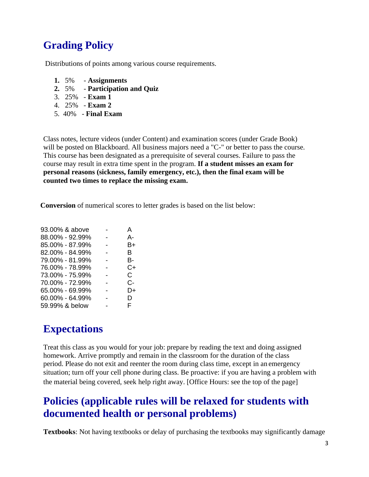# **Grading Policy**

Distributions of points among various course requirements.

- **1.** 5% **Assignments**
- **2.** 5% **Participation and Quiz**
- 3. 25% **Exam 1**
- 4. 25% **Exam 2**
- 5. 40% **Final Exam**

Class notes, lecture videos (under Content) and examination scores (under Grade Book) will be posted on Blackboard. All business majors need a "C-" or better to pass the course. This course has been designated as a prerequisite of several courses. Failure to pass the course may result in extra time spent in the program. **If a student misses an exam for personal reasons (sickness, family emergency, etc.), then the final exam will be counted two times to replace the missing exam.**

**Conversion** of numerical scores to letter grades is based on the list below:

| 93.00% & above  | А  |
|-----------------|----|
| 88.00% - 92.99% | А- |
| 85.00% - 87.99% | B+ |
| 82.00% - 84.99% | в  |
| 79.00% - 81.99% | в- |
| 76.00% - 78.99% | C+ |
| 73.00% - 75.99% | C. |
| 70.00% - 72.99% | C- |
| 65.00% - 69.99% | D+ |
| 60.00% - 64.99% | D  |
| 59.99% & below  | F  |
|                 |    |

#### **Expectations**

Treat this class as you would for your job: prepare by reading the text and doing assigned homework. Arrive promptly and remain in the classroom for the duration of the class period. Please do not exit and reenter the room during class time, except in an emergency situation; turn off your cell phone during class. Be proactive: if you are having a problem with the material being covered, seek help right away. [Office Hours: see the top of the page]

### **Policies (applicable rules will be relaxed for students with documented health or personal problems)**

**Textbooks**: Not having textbooks or delay of purchasing the textbooks may significantly damage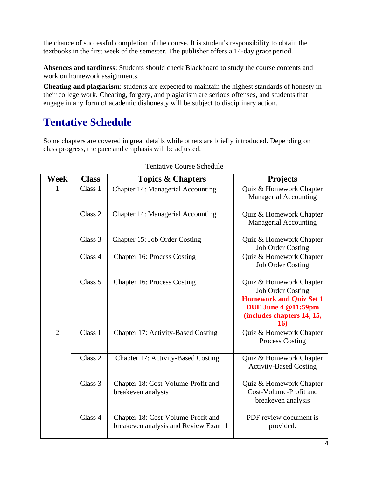the chance of successful completion of the course. It is student's responsibility to obtain the textbooks in the first week of the semester. The publisher offers a 14-day grace period.

**Absences and tardiness**: Students should check Blackboard to study the course contents and work on homework assignments.

**Cheating and plagiarism**: students are expected to maintain the highest standards of honesty in their college work. Cheating, forgery, and plagiarism are serious offenses, and students that engage in any form of academic dishonesty will be subject to disciplinary action.

# **Tentative Schedule**

Some chapters are covered in great details while others are briefly introduced. Depending on class progress, the pace and emphasis will be adjusted.

| <b>Week</b>    | <b>Class</b> | <b>Topics &amp; Chapters</b>                                               | <b>Projects</b>                                                                                                                                   |
|----------------|--------------|----------------------------------------------------------------------------|---------------------------------------------------------------------------------------------------------------------------------------------------|
| 1              | Class 1      | Chapter 14: Managerial Accounting                                          | Quiz & Homework Chapter<br><b>Managerial Accounting</b>                                                                                           |
|                | Class 2      | Chapter 14: Managerial Accounting                                          | Quiz & Homework Chapter<br><b>Managerial Accounting</b>                                                                                           |
|                | Class 3      | Chapter 15: Job Order Costing                                              | Quiz & Homework Chapter<br><b>Job Order Costing</b>                                                                                               |
|                | Class 4      | <b>Chapter 16: Process Costing</b>                                         | Quiz & Homework Chapter<br><b>Job Order Costing</b>                                                                                               |
|                | Class 5      | <b>Chapter 16: Process Costing</b>                                         | Quiz & Homework Chapter<br><b>Job Order Costing</b><br><b>Homework and Quiz Set 1</b><br>DUE June 4 @11:59pm<br>(includes chapters 14, 15,<br>16) |
| $\overline{2}$ | Class 1      | Chapter 17: Activity-Based Costing                                         | Quiz & Homework Chapter<br><b>Process Costing</b>                                                                                                 |
|                | Class 2      | Chapter 17: Activity-Based Costing                                         | Quiz & Homework Chapter<br><b>Activity-Based Costing</b>                                                                                          |
|                | Class 3      | Chapter 18: Cost-Volume-Profit and<br>breakeven analysis                   | Quiz & Homework Chapter<br>Cost-Volume-Profit and<br>breakeven analysis                                                                           |
|                | Class 4      | Chapter 18: Cost-Volume-Profit and<br>breakeven analysis and Review Exam 1 | PDF review document is<br>provided.                                                                                                               |

#### Tentative Course Schedule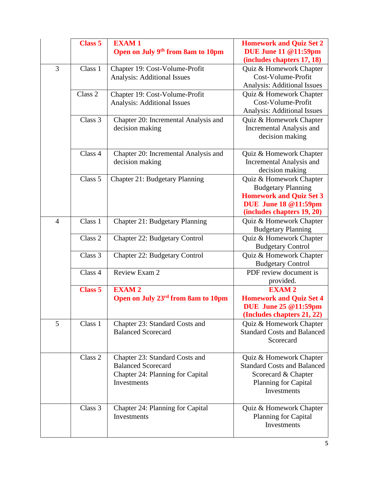|                | <b>Class 5</b> | <b>EXAM1</b><br>Open on July 9 <sup>th</sup> from 8am to 10pm                                                  | <b>Homework and Quiz Set 2</b><br><b>DUE June 11 @11:59pm</b><br>(includes chapters 17, 18)                                                         |
|----------------|----------------|----------------------------------------------------------------------------------------------------------------|-----------------------------------------------------------------------------------------------------------------------------------------------------|
| 3              | Class 1        | Chapter 19: Cost-Volume-Profit<br>Analysis: Additional Issues                                                  | Quiz & Homework Chapter<br>Cost-Volume-Profit<br><b>Analysis: Additional Issues</b>                                                                 |
|                | Class 2        | Chapter 19: Cost-Volume-Profit<br>Analysis: Additional Issues                                                  | Quiz & Homework Chapter<br>Cost-Volume-Profit<br><b>Analysis: Additional Issues</b>                                                                 |
|                | Class 3        | Chapter 20: Incremental Analysis and<br>decision making                                                        | Quiz & Homework Chapter<br>Incremental Analysis and<br>decision making                                                                              |
|                | Class 4        | Chapter 20: Incremental Analysis and<br>decision making                                                        | Quiz & Homework Chapter<br>Incremental Analysis and<br>decision making                                                                              |
|                | Class 5        | <b>Chapter 21: Budgetary Planning</b>                                                                          | Quiz & Homework Chapter<br><b>Budgetary Planning</b><br><b>Homework and Quiz Set 3</b><br><b>DUE</b> June 18 @11:59pm<br>(includes chapters 19, 20) |
| $\overline{4}$ | Class 1        | Chapter 21: Budgetary Planning                                                                                 | Quiz & Homework Chapter<br><b>Budgetary Planning</b>                                                                                                |
|                | Class 2        | <b>Chapter 22: Budgetary Control</b>                                                                           | Quiz & Homework Chapter<br><b>Budgetary Control</b>                                                                                                 |
|                | Class 3        | <b>Chapter 22: Budgetary Control</b>                                                                           | Quiz & Homework Chapter<br><b>Budgetary Control</b>                                                                                                 |
|                | Class 4        | Review Exam 2                                                                                                  | PDF review document is<br>provided.                                                                                                                 |
|                | <b>Class 5</b> | <b>EXAM2</b><br>Open on July 23 <sup>rd</sup> from 8am to 10pm                                                 | <b>EXAM2</b><br><b>Homework and Quiz Set 4</b><br><b>DUE</b> June 25 @11:59pm<br>(Includes chapters 21, 22)                                         |
| 5              | Class 1        | Chapter 23: Standard Costs and<br><b>Balanced Scorecard</b>                                                    | Quiz & Homework Chapter<br><b>Standard Costs and Balanced</b><br>Scorecard                                                                          |
|                | Class 2        | Chapter 23: Standard Costs and<br><b>Balanced Scorecard</b><br>Chapter 24: Planning for Capital<br>Investments | Quiz & Homework Chapter<br><b>Standard Costs and Balanced</b><br>Scorecard & Chapter<br>Planning for Capital<br>Investments                         |
|                | Class 3        | Chapter 24: Planning for Capital<br>Investments                                                                | Quiz & Homework Chapter<br>Planning for Capital<br>Investments                                                                                      |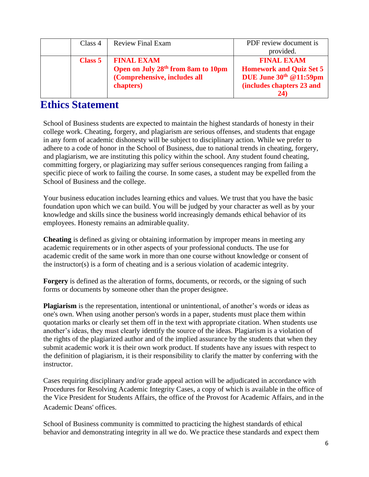| Class 4 | <b>Review Final Exam</b>                       | PDF review document is         |
|---------|------------------------------------------------|--------------------------------|
|         |                                                | provided.                      |
| Class 5 | <b>FINAL EXAM</b>                              | <b>FINAL EXAM</b>              |
|         | Open on July 28 <sup>th</sup> from 8am to 10pm | <b>Homework and Quiz Set 5</b> |
|         | (Comprehensive, includes all                   | DUE June 30th @11:59pm         |
|         | chapters)                                      | (includes chapters 23 and      |
|         |                                                | 24                             |

#### **Ethics Statement**

School of Business students are expected to maintain the highest standards of honesty in their college work. Cheating, forgery, and plagiarism are serious offenses, and students that engage in any form of academic dishonesty will be subject to disciplinary action. While we prefer to adhere to a code of honor in the School of Business, due to national trends in cheating, forgery, and plagiarism, we are instituting this policy within the school. Any student found cheating, committing forgery, or plagiarizing may suffer serious consequences ranging from failing a specific piece of work to failing the course. In some cases, a student may be expelled from the School of Business and the college.

Your business education includes learning ethics and values. We trust that you have the basic foundation upon which we can build. You will be judged by your character as well as by your knowledge and skills since the business world increasingly demands ethical behavior of its employees. Honesty remains an admirable quality.

**Cheating** is defined as giving or obtaining information by improper means in meeting any academic requirements or in other aspects of your professional conducts. The use for academic credit of the same work in more than one course without knowledge or consent of the instructor(s) is a form of cheating and is a serious violation of academic integrity.

**Forgery** is defined as the alteration of forms, documents, or records, or the signing of such forms or documents by someone other than the proper designee.

**Plagiarism** is the representation, intentional or unintentional, of another's words or ideas as one's own. When using another person's words in a paper, students must place them within quotation marks or clearly set them off in the text with appropriate citation. When students use another's ideas, they must clearly identify the source of the ideas. Plagiarism is a violation of the rights of the plagiarized author and of the implied assurance by the students that when they submit academic work it is their own work product. If students have any issues with respect to the definition of plagiarism, it is their responsibility to clarify the matter by conferring with the instructor.

Cases requiring disciplinary and/or grade appeal action will be adjudicated in accordance with Procedures for Resolving Academic Integrity Cases, a copy of which is available in the office of the Vice President for Students Affairs, the office of the Provost for Academic Affairs, and in the Academic Deans' offices.

School of Business community is committed to practicing the highest standards of ethical behavior and demonstrating integrity in all we do. We practice these standards and expect them